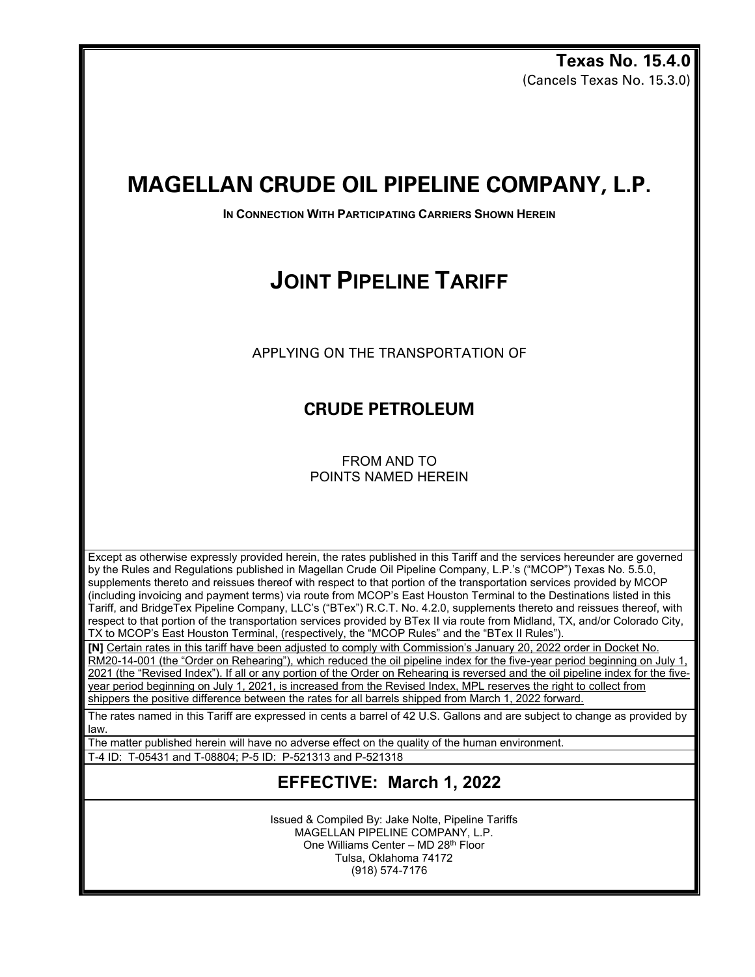**Texas No. 15.4.0** (Cancels Texas No. 15.3.0)

## **MAGELLAN CRUDE OIL PIPELINE COMPANY, L.P.**

**IN CONNECTION WITH PARTICIPATING CARRIERS SHOWN HEREIN** 

# **JOINT PIPELINE TARIFF**

APPLYING ON THE TRANSPORTATION OF

### **CRUDE PETROLEUM**

FROM AND TO POINTS NAMED HEREIN

Except as otherwise expressly provided herein, the rates published in this Tariff and the services hereunder are governed by the Rules and Regulations published in Magellan Crude Oil Pipeline Company, L.P.'s ("MCOP") Texas No. 5.5.0, supplements thereto and reissues thereof with respect to that portion of the transportation services provided by MCOP (including invoicing and payment terms) via route from MCOP's East Houston Terminal to the Destinations listed in this Tariff, and BridgeTex Pipeline Company, LLC's ("BTex") R.C.T. No. 4.2.0, supplements thereto and reissues thereof, with respect to that portion of the transportation services provided by BTex II via route from Midland, TX, and/or Colorado City, TX to MCOP's East Houston Terminal, (respectively, the "MCOP Rules" and the "BTex II Rules").

**[N]** Certain rates in this tariff have been adjusted to comply with Commission's January 20, 2022 order in Docket No.

RM20-14-001 (the "Order on Rehearing"), which reduced the oil pipeline index for the five-year period beginning on July 1, 2021 (the "Revised Index"). If all or any portion of the Order on Rehearing is reversed and the oil pipeline index for the fiveyear period beginning on July 1, 2021, is increased from the Revised Index, MPL reserves the right to collect from shippers the positive difference between the rates for all barrels shipped from March 1, 2022 forward.

The rates named in this Tariff are expressed in cents a barrel of 42 U.S. Gallons and are subject to change as provided by law.

The matter published herein will have no adverse effect on the quality of the human environment.

T-4 ID: T-05431 and T-08804; P-5 ID: P-521313 and P-521318

#### **EFFECTIVE: March 1, 2022**

Issued & Compiled By: Jake Nolte, Pipeline Tariffs MAGELLAN PIPELINE COMPANY, L.P. One Williams Center – MD 28th Floor Tulsa, Oklahoma 74172 (918) 574-7176